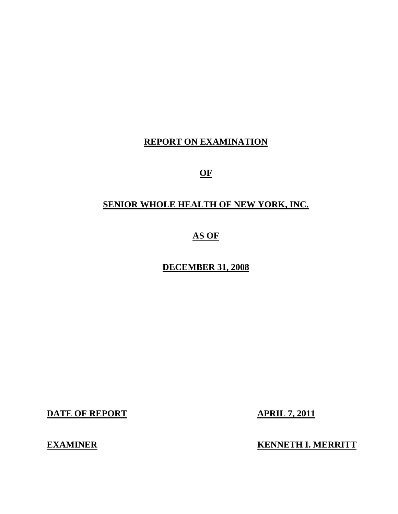## **REPORT ON EXAMINATION**

**OF** 

# **SENIOR WHOLE HEALTH OF NEW YORK, INC.**

**AS OF** 

**DECEMBER 31, 2008** 

**DATE OF REPORT APRIL 7, 2011** 

**EXAMINER EXAMINER EXAMINER**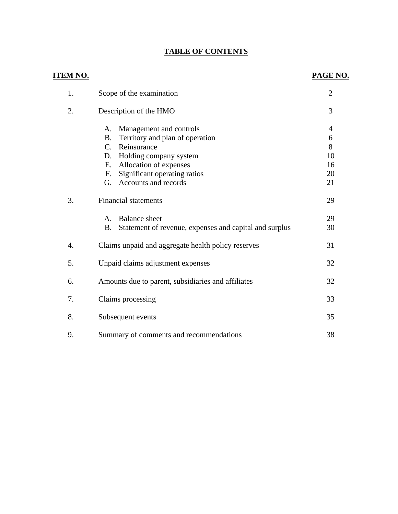#### **TABLE OF CONTENTS**

# **ITEM NO. PAGE NO.**  1. Scope of the examination 2 2. Description of the HMO 3 A. Management and controls 4 B. Territory and plan of operation 6 C. Reinsurance 8 D. Holding company system 10 E. Allocation of expenses 16 F. Significant operating ratios 20 G. Accounts and records 21 3. Financial statements 29 A. Balance sheet 29 B. Statement of revenue, expenses and capital and surplus 30 4. Claims unpaid and aggregate health policy reserves 31 [5. Unpaid claims adjustment expenses 32](#page-33-0)

|    | $\sim$ 11 $\sim$ 0.100.11115 0.10 $\sim$ 0.1110.1110 0.1110.00 |     |
|----|----------------------------------------------------------------|-----|
| 6. | Amounts due to parent, subsidiaries and affiliates             | 32  |
| 7. | Claims processing                                              | 33  |
| 8. | Subsequent events                                              | 35. |
|    | Summary of comments and recommendations                        |     |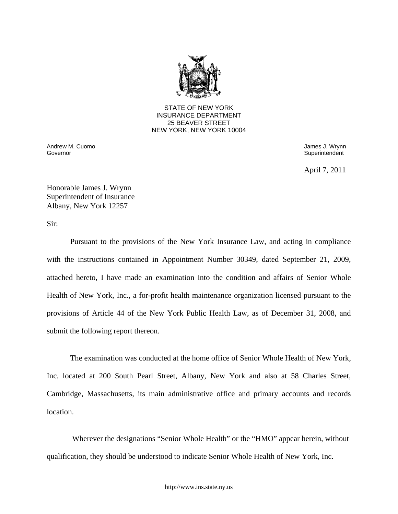

STATE OF NEW YORK INSURANCE DEPARTMENT 25 BEAVER STREET NEW YORK, NEW YORK 10004

Governor Andrew M. Cuomo **James J. Wrynn** 

Superintendent

April 7, 2011

Honorable James J. Wrynn Superintendent of Insurance Albany, New York 12257

Sir:

Pursuant to the provisions of the New York Insurance Law, and acting in compliance with the instructions contained in Appointment Number 30349, dated September 21, 2009, attached hereto, I have made an examination into the condition and affairs of Senior Whole Health of New York, Inc., a for-profit health maintenance organization licensed pursuant to the provisions of Article 44 of the New York Public Health Law, as of December 31, 2008, and submit the following report thereon.

The examination was conducted at the home office of Senior Whole Health of New York, Inc. located at 200 South Pearl Street, Albany, New York and also at 58 Charles Street, Cambridge, Massachusetts, its main administrative office and primary accounts and records location.

Wherever the designations "Senior Whole Health" or the "HMO" appear herein, without qualification, they should be understood to indicate Senior Whole Health of New York, Inc.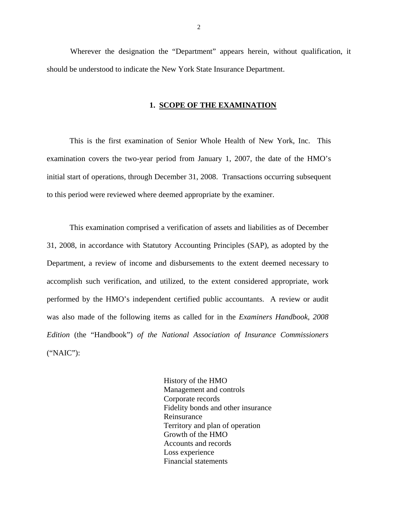Wherever the designation the "Department" appears herein, without qualification, it should be understood to indicate the New York State Insurance Department.

#### **1. SCOPE OF THE EXAMINATION**

This is the first examination of Senior Whole Health of New York, Inc. This examination covers the two-year period from January 1, 2007, the date of the HMO's initial start of operations, through December 31, 2008. Transactions occurring subsequent to this period were reviewed where deemed appropriate by the examiner.

This examination comprised a verification of assets and liabilities as of December 31, 2008, in accordance with Statutory Accounting Principles (SAP), as adopted by the Department, a review of income and disbursements to the extent deemed necessary to accomplish such verification, and utilized, to the extent considered appropriate, work performed by the HMO's independent certified public accountants. A review or audit was also made of the following items as called for in the *Examiners Handbook, 2008 Edition* (the "Handbook") *of the National Association of Insurance Commissioners*  ("NAIC"):

> History of the HMO Management and controls Corporate records Fidelity bonds and other insurance Reinsurance Territory and plan of operation Growth of the HMO Accounts and records Loss experience Financial statements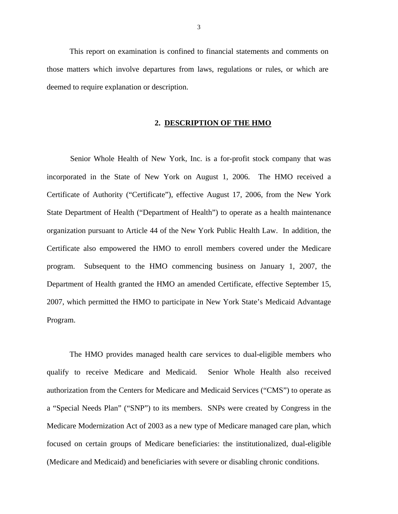This report on examination is confined to financial statements and comments on those matters which involve departures from laws, regulations or rules, or which are deemed to require explanation or description.

#### **2. DESCRIPTION OF THE HMO**

Senior Whole Health of New York, Inc. is a for-profit stock company that was incorporated in the State of New York on August 1, 2006. The HMO received a Certificate of Authority ("Certificate"), effective August 17, 2006, from the New York State Department of Health ("Department of Health") to operate as a health maintenance organization pursuant to Article 44 of the New York Public Health Law. In addition, the Certificate also empowered the HMO to enroll members covered under the Medicare program. Subsequent to the HMO commencing business on January 1, 2007, the Department of Health granted the HMO an amended Certificate, effective September 15, 2007, which permitted the HMO to participate in New York State's Medicaid Advantage Program.

The HMO provides managed health care services to dual-eligible members who qualify to receive Medicare and Medicaid. Senior Whole Health also received authorization from the Centers for Medicare and Medicaid Services ("CMS") to operate as a "Special Needs Plan" ("SNP") to its members. SNPs were created by Congress in the Medicare Modernization Act of 2003 as a new type of Medicare managed care plan, which focused on certain groups of Medicare beneficiaries: the institutionalized, dual-eligible (Medicare and Medicaid) and beneficiaries with severe or disabling chronic conditions.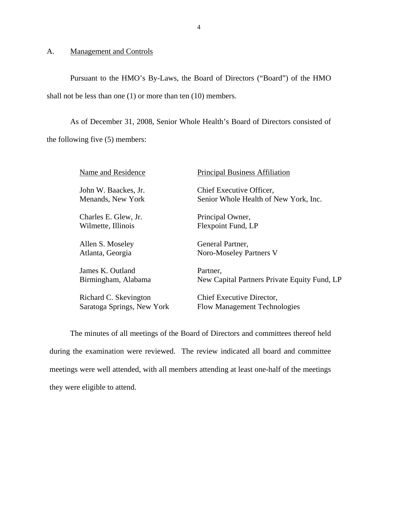### <span id="page-5-0"></span>A. Management and Controls

Pursuant to the HMO's By-Laws, the Board of Directors ("Board") of the HMO shall not be less than one (1) or more than ten (10) members.

As of December 31, 2008, Senior Whole Health's Board of Directors consisted of the following five (5) members:

| Name and Residence         | <b>Principal Business Affiliation</b>        |
|----------------------------|----------------------------------------------|
| John W. Baackes, Jr.       | Chief Executive Officer,                     |
| Menands, New York          | Senior Whole Health of New York, Inc.        |
| Charles E. Glew, Jr.       | Principal Owner,                             |
| Wilmette, Illinois         | Flexpoint Fund, LP                           |
| Allen S. Moseley           | General Partner,                             |
| Atlanta, Georgia           | Noro-Moseley Partners V                      |
| James K. Outland           | Partner,                                     |
| Birmingham, Alabama        | New Capital Partners Private Equity Fund, LP |
| Richard C. Skevington      | Chief Executive Director,                    |
| Saratoga Springs, New York | <b>Flow Management Technologies</b>          |

The minutes of all meetings of the Board of Directors and committees thereof held during the examination were reviewed. The review indicated all board and committee meetings were well attended, with all members attending at least one-half of the meetings they were eligible to attend.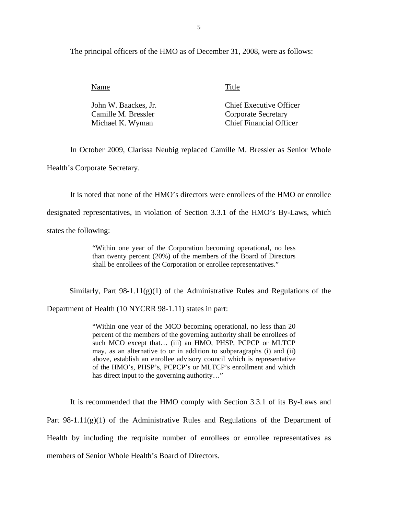The principal officers of the HMO as of December 31, 2008, were as follows:

| Name                 | Title                          |
|----------------------|--------------------------------|
| John W. Baackes, Jr. | <b>Chief Executive Officer</b> |
| Camille M. Bressler  | <b>Corporate Secretary</b>     |
| Michael K. Wyman     | <b>Chief Financial Officer</b> |

In October 2009, Clarissa Neubig replaced Camille M. Bressler as Senior Whole

Health's Corporate Secretary.

It is noted that none of the HMO's directors were enrollees of the HMO or enrollee

designated representatives, in violation of Section 3.3.1 of the HMO's By-Laws, which

states the following:

"Within one year of the Corporation becoming operational, no less than twenty percent (20%) of the members of the Board of Directors shall be enrollees of the Corporation or enrollee representatives."

Similarly, Part  $98-1.11(g)(1)$  of the Administrative Rules and Regulations of the

Department of Health (10 NYCRR 98-1.11) states in part:

"Within one year of the MCO becoming operational, no less than 20 percent of the members of the governing authority shall be enrollees of such MCO except that... (iii) an HMO, PHSP, PCPCP or MLTCP may, as an alternative to or in addition to subparagraphs (i) and (ii) above, establish an enrollee advisory council which is representative of the HMO's, PHSP's, PCPCP's or MLTCP's enrollment and which has direct input to the governing authority…"

It is recommended that the HMO comply with Section 3.3.1 of its By-Laws and

Part 98-1.11(g)(1) of the Administrative Rules and Regulations of the Department of

Health by including the requisite number of enrollees or enrollee representatives as

members of Senior Whole Health's Board of Directors.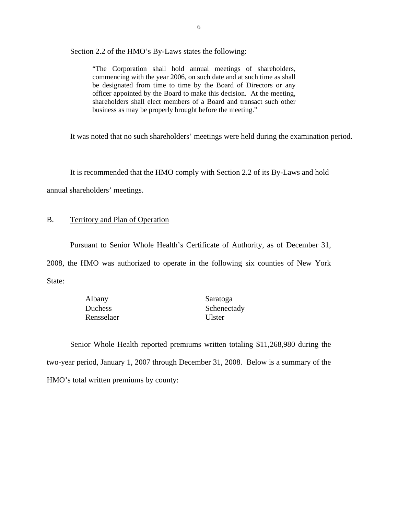<span id="page-7-0"></span>Section 2.2 of the HMO's By-Laws states the following:

"The Corporation shall hold annual meetings of shareholders, commencing with the year 2006, on such date and at such time as shall be designated from time to time by the Board of Directors or any officer appointed by the Board to make this decision. At the meeting, shareholders shall elect members of a Board and transact such other business as may be properly brought before the meeting."

It was noted that no such shareholders' meetings were held during the examination period.

It is recommended that the HMO comply with Section 2.2 of its By-Laws and hold

annual shareholders' meetings.

#### B. Territory and Plan of Operation

Pursuant to Senior Whole Health's Certificate of Authority, as of December 31,

2008, the HMO was authorized to operate in the following six counties of New York State:

| Albany     | Saratoga      |
|------------|---------------|
| Duchess    | Schenectady   |
| Rensselaer | <b>U</b> ster |

Senior Whole Health reported premiums written totaling \$11,268,980 during the two-year period, January 1, 2007 through December 31, 2008. Below is a summary of the HMO's total written premiums by county: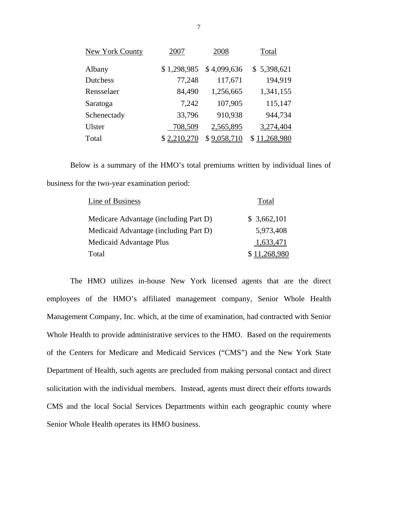| New York County | 2007        | 2008        | Total       |
|-----------------|-------------|-------------|-------------|
| Albany          | \$1,298,985 | \$4,099,636 | \$5,398,621 |
| Dutchess        | 77,248      | 117,671     | 194,919     |
| Rensselaer      | 84,490      | 1,256,665   | 1,341,155   |
| Saratoga        | 7,242       | 107,905     | 115,147     |
| Schenectady     | 33,796      | 910,938     | 944,734     |
| Ulster          | 708,509     | 2,565,895   | 3,274,404   |
| Total           | \$2,210,270 | \$9,058,710 | 11,268,980  |

Below is a summary of the HMO's total premiums written by individual lines of business for the two-year examination period:

| Line of Business                      | Total       |
|---------------------------------------|-------------|
| Medicare Advantage (including Part D) | \$3,662,101 |
| Medicaid Advantage (including Part D) | 5,973,408   |
| Medicaid Advantage Plus               | 1,633,471   |
| Total                                 |             |

The HMO utilizes in-house New York licensed agents that are the direct employees of the HMO's affiliated management company, Senior Whole Health Management Company, Inc. which, at the time of examination, had contracted with Senior Whole Health to provide administrative services to the HMO. Based on the requirements of the Centers for Medicare and Medicaid Services ("CMS") and the New York State Department of Health, such agents are precluded from making personal contact and direct solicitation with the individual members. Instead, agents must direct their efforts towards CMS and the local Social Services Departments within each geographic county where Senior Whole Health operates its HMO business.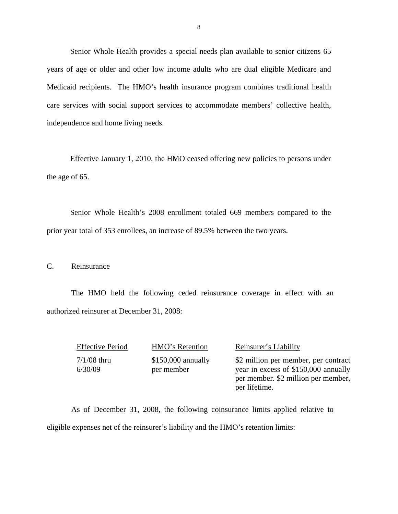Senior Whole Health provides a special needs plan available to senior citizens 65 years of age or older and other low income adults who are dual eligible Medicare and Medicaid recipients. The HMO's health insurance program combines traditional health care services with social support services to accommodate members' collective health, independence and home living needs.

Effective January 1, 2010, the HMO ceased offering new policies to persons under the age of 65.

Senior Whole Health's 2008 enrollment totaled 669 members compared to the prior year total of 353 enrollees, an increase of 89.5% between the two years.

#### C. Reinsurance

The HMO held the following ceded reinsurance coverage in effect with an authorized reinsurer at December 31, 2008:

7/1/08 thru 6/30/09

\$150,000 annually per member

Effective Period HMO's Retention Reinsurer's Liability

\$2 million per member, per contract year in excess of \$150,000 annually per member. \$2 million per member, per lifetime.

As of December 31, 2008, the following coinsurance limits applied relative to eligible expenses net of the reinsurer's liability and the HMO's retention limits: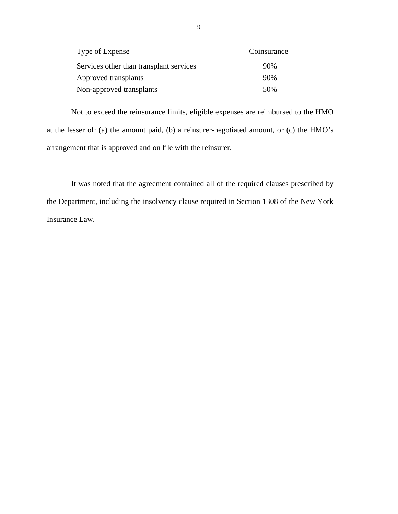| Type of Expense                         | Coinsurance |
|-----------------------------------------|-------------|
| Services other than transplant services | 90%         |
| Approved transplants                    | 90%         |
| Non-approved transplants                | 50%         |

Not to exceed the reinsurance limits, eligible expenses are reimbursed to the HMO at the lesser of: (a) the amount paid, (b) a reinsurer-negotiated amount, or (c) the HMO's arrangement that is approved and on file with the reinsurer.

It was noted that the agreement contained all of the required clauses prescribed by the Department, including the insolvency clause required in Section 1308 of the New York Insurance Law.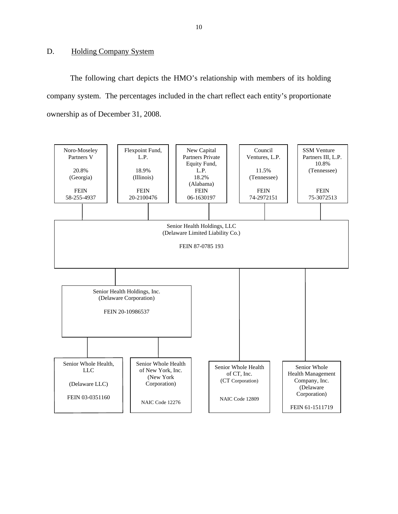#### <span id="page-11-0"></span>D. Holding Company System

The following chart depicts the HMO's relationship with members of its holding company system. The percentages included in the chart reflect each entity's proportionate ownership as of December 31, 2008.

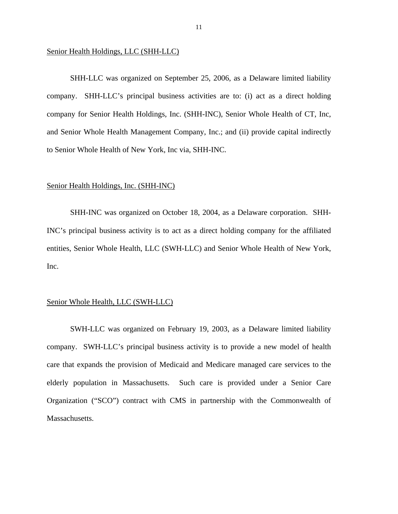#### Senior Health Holdings, LLC (SHH-LLC)

SHH-LLC was organized on September 25, 2006, as a Delaware limited liability company. SHH-LLC's principal business activities are to: (i) act as a direct holding company for Senior Health Holdings, Inc. (SHH-INC), Senior Whole Health of CT, Inc, and Senior Whole Health Management Company, Inc.; and (ii) provide capital indirectly to Senior Whole Health of New York, Inc via, SHH-INC.

#### Senior Health Holdings, Inc. (SHH-INC)

SHH-INC was organized on October 18, 2004, as a Delaware corporation. SHH-INC's principal business activity is to act as a direct holding company for the affiliated entities, Senior Whole Health, LLC (SWH-LLC) and Senior Whole Health of New York, Inc.

#### Senior Whole Health, LLC (SWH-LLC)

SWH-LLC was organized on February 19, 2003, as a Delaware limited liability company. SWH-LLC's principal business activity is to provide a new model of health care that expands the provision of Medicaid and Medicare managed care services to the elderly population in Massachusetts. Such care is provided under a Senior Care Organization ("SCO") contract with CMS in partnership with the Commonwealth of Massachusetts.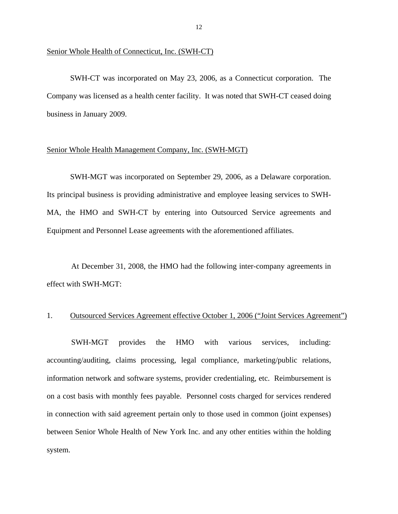#### Senior Whole Health of Connecticut, Inc. (SWH-CT)

SWH-CT was incorporated on May 23, 2006, as a Connecticut corporation. The Company was licensed as a health center facility. It was noted that SWH-CT ceased doing business in January 2009.

#### Senior Whole Health Management Company, Inc. (SWH-MGT)

SWH-MGT was incorporated on September 29, 2006, as a Delaware corporation. Its principal business is providing administrative and employee leasing services to SWH-MA, the HMO and SWH-CT by entering into Outsourced Service agreements and Equipment and Personnel Lease agreements with the aforementioned affiliates.

At December 31, 2008, the HMO had the following inter-company agreements in effect with SWH-MGT:

#### 1. Outsourced Services Agreement effective October 1, 2006 ("Joint Services Agreement")

SWH-MGT provides the HMO with various services, including: accounting/auditing, claims processing, legal compliance, marketing/public relations, information network and software systems, provider credentialing, etc. Reimbursement is on a cost basis with monthly fees payable. Personnel costs charged for services rendered in connection with said agreement pertain only to those used in common (joint expenses) between Senior Whole Health of New York Inc. and any other entities within the holding system.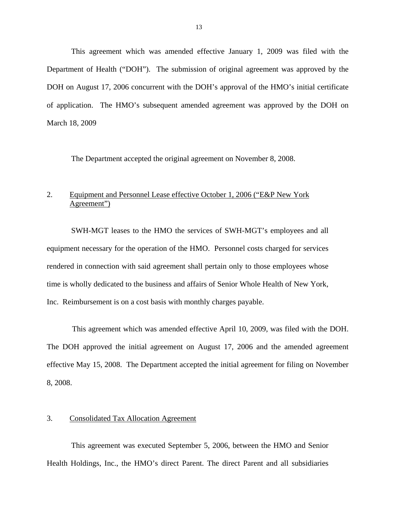This agreement which was amended effective January 1, 2009 was filed with the Department of Health ("DOH"). The submission of original agreement was approved by the DOH on August 17, 2006 concurrent with the DOH's approval of the HMO's initial certificate of application. The HMO's subsequent amended agreement was approved by the DOH on March 18, 2009

The Department accepted the original agreement on November 8, 2008.

# 2. Equipment and Personnel Lease effective October 1, 2006 ("E&P New York Agreement")

SWH-MGT leases to the HMO the services of SWH-MGT's employees and all equipment necessary for the operation of the HMO. Personnel costs charged for services rendered in connection with said agreement shall pertain only to those employees whose time is wholly dedicated to the business and affairs of Senior Whole Health of New York, Inc. Reimbursement is on a cost basis with monthly charges payable.

This agreement which was amended effective April 10, 2009, was filed with the DOH. The DOH approved the initial agreement on August 17, 2006 and the amended agreement effective May 15, 2008. The Department accepted the initial agreement for filing on November 8, 2008.

#### 3. Consolidated Tax Allocation Agreement

This agreement was executed September 5, 2006, between the HMO and Senior Health Holdings, Inc., the HMO's direct Parent. The direct Parent and all subsidiaries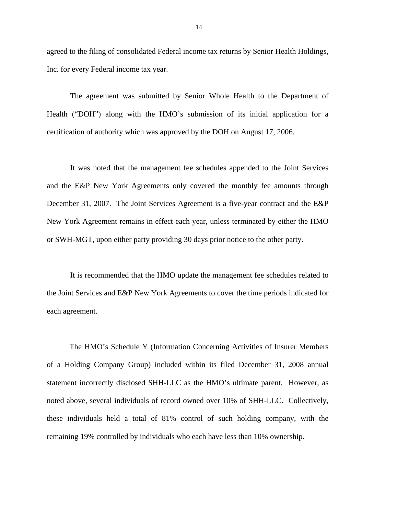agreed to the filing of consolidated Federal income tax returns by Senior Health Holdings, Inc. for every Federal income tax year.

The agreement was submitted by Senior Whole Health to the Department of Health ("DOH") along with the HMO's submission of its initial application for a certification of authority which was approved by the DOH on August 17, 2006.

It was noted that the management fee schedules appended to the Joint Services and the E&P New York Agreements only covered the monthly fee amounts through December 31, 2007. The Joint Services Agreement is a five-year contract and the E&P New York Agreement remains in effect each year, unless terminated by either the HMO or SWH-MGT, upon either party providing 30 days prior notice to the other party.

It is recommended that the HMO update the management fee schedules related to the Joint Services and E&P New York Agreements to cover the time periods indicated for each agreement.

The HMO's Schedule Y (Information Concerning Activities of Insurer Members of a Holding Company Group) included within its filed December 31, 2008 annual statement incorrectly disclosed SHH-LLC as the HMO's ultimate parent. However, as noted above, several individuals of record owned over 10% of SHH-LLC. Collectively, these individuals held a total of 81% control of such holding company, with the remaining 19% controlled by individuals who each have less than 10% ownership.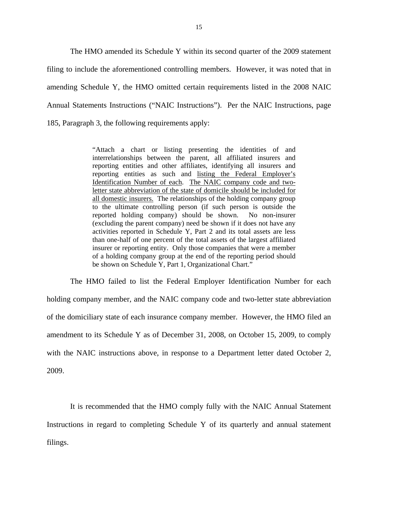The HMO amended its Schedule Y within its second quarter of the 2009 statement filing to include the aforementioned controlling members. However, it was noted that in amending Schedule Y, the HMO omitted certain requirements listed in the 2008 NAIC Annual Statements Instructions ("NAIC Instructions"). Per the NAIC Instructions, page 185, Paragraph 3, the following requirements apply:

> "Attach a chart or listing presenting the identities of and interrelationships between the parent, all affiliated insurers and reporting entities and other affiliates, identifying all insurers and reporting entities as such and listing the Federal Employer's Identification Number of each. The NAIC company code and twoletter state abbreviation of the state of domicile should be included for all domestic insurers. The relationships of the holding company group to the ultimate controlling person (if such person is outside the reported holding company) should be shown. No non-insurer (excluding the parent company) need be shown if it does not have any activities reported in Schedule Y, Part 2 and its total assets are less than one-half of one percent of the total assets of the largest affiliated insurer or reporting entity. Only those companies that were a member of a holding company group at the end of the reporting period should be shown on Schedule Y, Part 1, Organizational Chart."

The HMO failed to list the Federal Employer Identification Number for each holding company member, and the NAIC company code and two-letter state abbreviation of the domiciliary state of each insurance company member. However, the HMO filed an amendment to its Schedule Y as of December 31, 2008, on October 15, 2009, to comply with the NAIC instructions above, in response to a Department letter dated October 2, 2009.

It is recommended that the HMO comply fully with the NAIC Annual Statement Instructions in regard to completing Schedule Y of its quarterly and annual statement filings.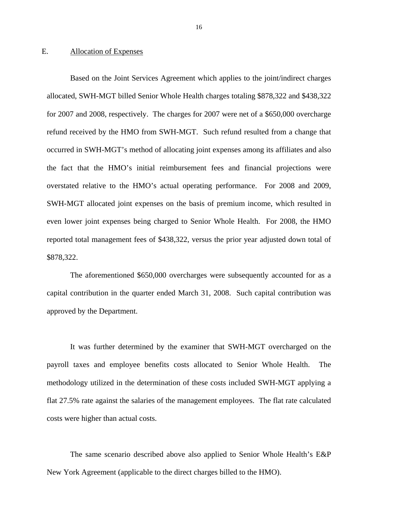#### <span id="page-17-0"></span>E. Allocation of Expenses

Based on the Joint Services Agreement which applies to the joint/indirect charges allocated, SWH-MGT billed Senior Whole Health charges totaling \$878,322 and \$438,322 for 2007 and 2008, respectively. The charges for 2007 were net of a \$650,000 overcharge refund received by the HMO from SWH-MGT. Such refund resulted from a change that occurred in SWH-MGT's method of allocating joint expenses among its affiliates and also the fact that the HMO's initial reimbursement fees and financial projections were overstated relative to the HMO's actual operating performance. For 2008 and 2009, SWH-MGT allocated joint expenses on the basis of premium income, which resulted in even lower joint expenses being charged to Senior Whole Health. For 2008, the HMO reported total management fees of \$438,322, versus the prior year adjusted down total of \$878,322.

The aforementioned \$650,000 overcharges were subsequently accounted for as a capital contribution in the quarter ended March 31, 2008. Such capital contribution was approved by the Department.

It was further determined by the examiner that SWH-MGT overcharged on the payroll taxes and employee benefits costs allocated to Senior Whole Health. The methodology utilized in the determination of these costs included SWH-MGT applying a flat 27.5% rate against the salaries of the management employees. The flat rate calculated costs were higher than actual costs.

The same scenario described above also applied to Senior Whole Health's E&P New York Agreement (applicable to the direct charges billed to the HMO).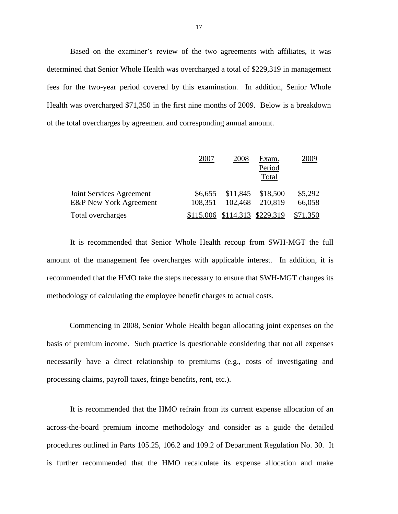Based on the examiner's review of the two agreements with affiliates, it was determined that Senior Whole Health was overcharged a total of \$229,319 in management fees for the two-year period covered by this examination. In addition, Senior Whole Health was overcharged \$71,350 in the first nine months of 2009. Below is a breakdown of the total overcharges by agreement and corresponding annual amount.

|                                                               | 200'               | 2008                          | Exam.<br>Period<br>Total | 2009              |
|---------------------------------------------------------------|--------------------|-------------------------------|--------------------------|-------------------|
| Joint Services Agreement<br><b>E&amp;P</b> New York Agreement | \$6,655<br>108,351 | \$11,845<br>102,468           | \$18,500<br>210,819      | \$5,292<br>66,058 |
| Total overcharges                                             |                    | \$115,006 \$114,313 \$229,319 |                          | \$71,350          |

It is recommended that Senior Whole Health recoup from SWH-MGT the full amount of the management fee overcharges with applicable interest. In addition, it is recommended that the HMO take the steps necessary to ensure that SWH-MGT changes its methodology of calculating the employee benefit charges to actual costs.

Commencing in 2008, Senior Whole Health began allocating joint expenses on the basis of premium income. Such practice is questionable considering that not all expenses necessarily have a direct relationship to premiums (e.g., costs of investigating and processing claims, payroll taxes, fringe benefits, rent, etc.).

It is recommended that the HMO refrain from its current expense allocation of an across-the-board premium income methodology and consider as a guide the detailed procedures outlined in Parts 105.25, 106.2 and 109.2 of Department Regulation No. 30. It is further recommended that the HMO recalculate its expense allocation and make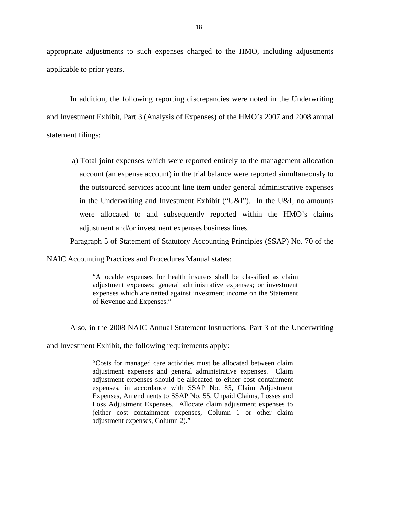appropriate adjustments to such expenses charged to the HMO, including adjustments applicable to prior years.

In addition, the following reporting discrepancies were noted in the Underwriting and Investment Exhibit, Part 3 (Analysis of Expenses) of the HMO's 2007 and 2008 annual statement filings:

a) Total joint expenses which were reported entirely to the management allocation account (an expense account) in the trial balance were reported simultaneously to the outsourced services account line item under general administrative expenses in the Underwriting and Investment Exhibit ("U&I"). In the U&I, no amounts were allocated to and subsequently reported within the HMO's claims adjustment and/or investment expenses business lines.

Paragraph 5 of Statement of Statutory Accounting Principles (SSAP) No. 70 of the

NAIC Accounting Practices and Procedures Manual states:

"Allocable expenses for health insurers shall be classified as claim adjustment expenses; general administrative expenses; or investment expenses which are netted against investment income on the Statement of Revenue and Expenses."

Also, in the 2008 NAIC Annual Statement Instructions, Part 3 of the Underwriting

and Investment Exhibit, the following requirements apply:

"Costs for managed care activities must be allocated between claim adjustment expenses and general administrative expenses. Claim adjustment expenses should be allocated to either cost containment expenses, in accordance with SSAP No. 85, Claim Adjustment Expenses, Amendments to SSAP No. 55, Unpaid Claims, Losses and Loss Adjustment Expenses. Allocate claim adjustment expenses to (either cost containment expenses, Column 1 or other claim adjustment expenses, Column 2)."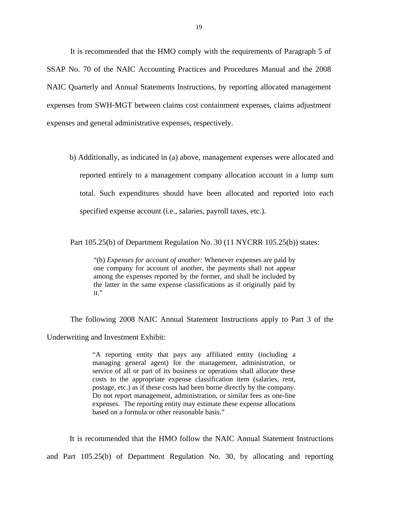It is recommended that the HMO comply with the requirements of Paragraph 5 of SSAP No. 70 of the NAIC Accounting Practices and Procedures Manual and the 2008 NAIC Quarterly and Annual Statements Instructions, by reporting allocated management expenses from SWH-MGT between claims cost containment expenses, claims adjustment expenses and general administrative expenses, respectively.

b) Additionally, as indicated in (a) above, management expenses were allocated and reported entirely to a management company allocation account in a lump sum total. Such expenditures should have been allocated and reported into each specified expense account (i.e., salaries, payroll taxes, etc.).

Part 105.25(b) of Department Regulation No. 30 (11 NYCRR 105.25(b)) states:

"(b) *Expenses for account of another:* Whenever expenses are paid by one company for account of another, the payments shall not appear among the expenses reported by the former, and shall be included by the latter in the same expense classifications as if originally paid by it."

The following 2008 NAIC Annual Statement Instructions apply to Part 3 of the Underwriting and Investment Exhibit:

> postage, etc.) as if these costs had been borne directly by the company. "A reporting entity that pays any affiliated entity (including a managing general agent) for the management, administration, or service of all or part of its business or operations shall allocate these costs to the appropriate expense classification item (salaries, rent, Do not report management, administration, or similar fees as one-line expenses. The reporting entity may estimate these expense allocations based on a formula or other reasonable basis."

It is recommended that the HMO follow the NAIC Annual Statement Instructions and Part 105.25(b) of Department Regulation No. 30, by allocating and reporting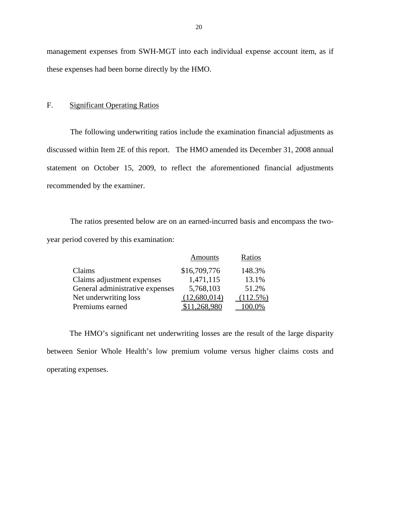management expenses from SWH-MGT into each individual expense account item, as if these expenses had been borne directly by the HMO.

#### F. Significant Operating Ratios

The following underwriting ratios include the examination financial adjustments as discussed within Item 2E of this report. The HMO amended its December 31, 2008 annual statement on October 15, 2009, to reflect the aforementioned financial adjustments recommended by the examiner.

The ratios presented below are on an earned-incurred basis and encompass the twoyear period covered by this examination:

|                                 | <b>Amounts</b> | Ratios      |
|---------------------------------|----------------|-------------|
| Claims                          | \$16,709,776   | 148.3%      |
| Claims adjustment expenses      | 1,471,115      | 13.1%       |
| General administrative expenses | 5,768,103      | 51.2%       |
| Net underwriting loss           | (12,680,014)   | $(112.5\%)$ |
| Premiums earned                 | \$11,268,980   | 100.0%      |

The HMO's significant net underwriting losses are the result of the large disparity between Senior Whole Health's low premium volume versus higher claims costs and operating expenses.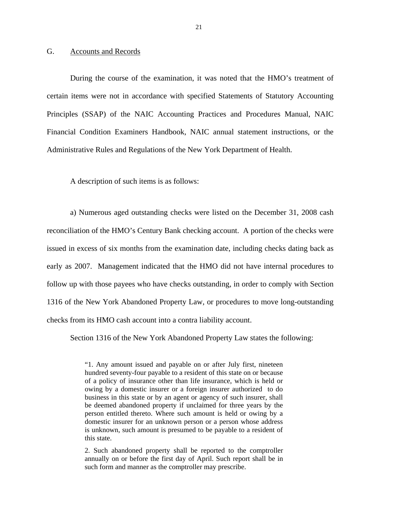#### <span id="page-22-0"></span>G. Accounts and Records

During the course of the examination, it was noted that the HMO's treatment of certain items were not in accordance with specified Statements of Statutory Accounting Principles (SSAP) of the NAIC Accounting Practices and Procedures Manual, NAIC Financial Condition Examiners Handbook, NAIC annual statement instructions, or the Administrative Rules and Regulations of the New York Department of Health.

A description of such items is as follows:

a) Numerous aged outstanding checks were listed on the December 31, 2008 cash reconciliation of the HMO's Century Bank checking account. A portion of the checks were issued in excess of six months from the examination date, including checks dating back as early as 2007. Management indicated that the HMO did not have internal procedures to follow up with those payees who have checks outstanding, in order to comply with Section 1316 of the New York Abandoned Property Law, or procedures to move long-outstanding checks from its HMO cash account into a contra liability account.

Section 1316 of the New York Abandoned Property Law states the following:

"1. Any amount issued and payable on or after July first, nineteen hundred seventy-four payable to a resident of this state on or because of a policy of insurance other than life insurance, which is held or owing by a domestic insurer or a foreign insurer authorized to do business in this state or by an agent or agency of such insurer, shall be deemed abandoned property if unclaimed for three years by the person entitled thereto. Where such amount is held or owing by a domestic insurer for an unknown person or a person whose address is unknown, such amount is presumed to be payable to a resident of this state.

2. Such abandoned property shall be reported to the comptroller annually on or before the first day of April. Such report shall be in such form and manner as the comptroller may prescribe.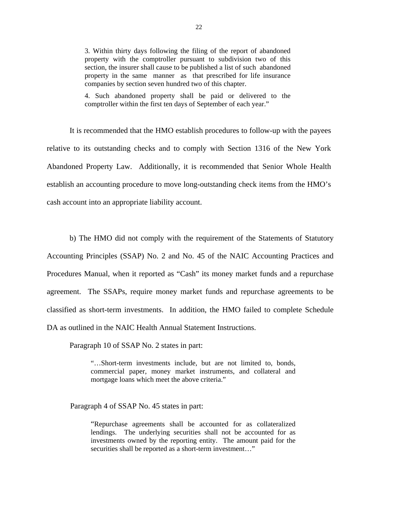3. Within thirty days following the filing of the report of abandoned section, the insurer shall cause to be published a list of such abandoned property with the comptroller pursuant to subdivision two of this property in the same manner as that prescribed for life insurance companies by section seven hundred two of this chapter.

4. Such abandoned property shall be paid or delivered to the comptroller within the first ten days of September of each year."

It is recommended that the HMO establish procedures to follow-up with the payees relative to its outstanding checks and to comply with Section 1316 of the New York Abandoned Property Law. Additionally, it is recommended that Senior Whole Health establish an accounting procedure to move long-outstanding check items from the HMO's cash account into an appropriate liability account.

b) The HMO did not comply with the requirement of the Statements of Statutory Accounting Principles (SSAP) No. 2 and No. 45 of the NAIC Accounting Practices and Procedures Manual, when it reported as "Cash" its money market funds and a repurchase agreement. The SSAPs, require money market funds and repurchase agreements to be classified as short-term investments. In addition, the HMO failed to complete Schedule DA as outlined in the NAIC Health Annual Statement Instructions.

Paragraph 10 of SSAP No. 2 states in part:

"…Short-term investments include, but are not limited to, bonds, commercial paper, money market instruments, and collateral and mortgage loans which meet the above criteria."

Paragraph 4 of SSAP No. 45 states in part:

"Repurchase agreements shall be accounted for as collateralized lendings. The underlying securities shall not be accounted for as investments owned by the reporting entity. The amount paid for the securities shall be reported as a short-term investment..."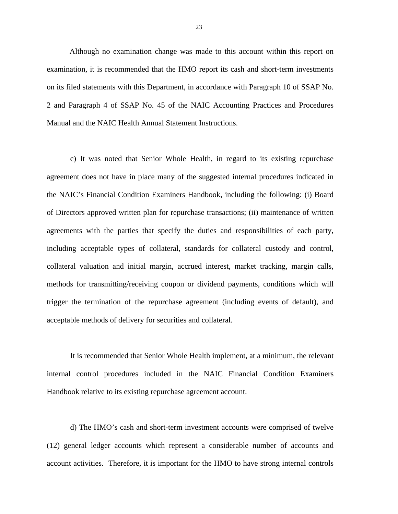Although no examination change was made to this account within this report on examination, it is recommended that the HMO report its cash and short-term investments on its filed statements with this Department, in accordance with Paragraph 10 of SSAP No. 2 and Paragraph 4 of SSAP No. 45 of the NAIC Accounting Practices and Procedures Manual and the NAIC Health Annual Statement Instructions.

c) It was noted that Senior Whole Health, in regard to its existing repurchase agreement does not have in place many of the suggested internal procedures indicated in the NAIC's Financial Condition Examiners Handbook, including the following: (i) Board of Directors approved written plan for repurchase transactions; (ii) maintenance of written agreements with the parties that specify the duties and responsibilities of each party, including acceptable types of collateral, standards for collateral custody and control, collateral valuation and initial margin, accrued interest, market tracking, margin calls, methods for transmitting/receiving coupon or dividend payments, conditions which will trigger the termination of the repurchase agreement (including events of default), and acceptable methods of delivery for securities and collateral.

It is recommended that Senior Whole Health implement, at a minimum, the relevant internal control procedures included in the NAIC Financial Condition Examiners Handbook relative to its existing repurchase agreement account.

d) The HMO's cash and short-term investment accounts were comprised of twelve (12) general ledger accounts which represent a considerable number of accounts and account activities. Therefore, it is important for the HMO to have strong internal controls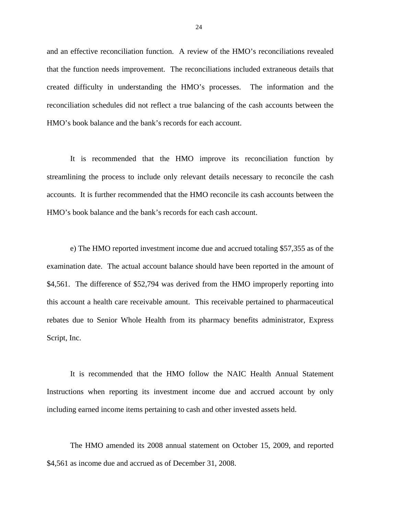and an effective reconciliation function. A review of the HMO's reconciliations revealed that the function needs improvement. The reconciliations included extraneous details that created difficulty in understanding the HMO's processes. The information and the reconciliation schedules did not reflect a true balancing of the cash accounts between the HMO's book balance and the bank's records for each account.

It is recommended that the HMO improve its reconciliation function by streamlining the process to include only relevant details necessary to reconcile the cash accounts. It is further recommended that the HMO reconcile its cash accounts between the HMO's book balance and the bank's records for each cash account.

e) The HMO reported investment income due and accrued totaling \$57,355 as of the examination date. The actual account balance should have been reported in the amount of \$4,561. The difference of \$52,794 was derived from the HMO improperly reporting into this account a health care receivable amount. This receivable pertained to pharmaceutical rebates due to Senior Whole Health from its pharmacy benefits administrator, Express Script, Inc.

It is recommended that the HMO follow the NAIC Health Annual Statement Instructions when reporting its investment income due and accrued account by only including earned income items pertaining to cash and other invested assets held.

The HMO amended its 2008 annual statement on October 15, 2009, and reported \$4,561 as income due and accrued as of December 31, 2008.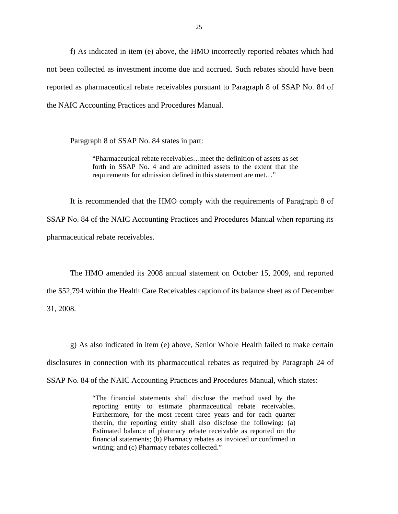f) As indicated in item (e) above, the HMO incorrectly reported rebates which had not been collected as investment income due and accrued. Such rebates should have been reported as pharmaceutical rebate receivables pursuant to Paragraph 8 of SSAP No. 84 of the NAIC Accounting Practices and Procedures Manual.

Paragraph 8 of SSAP No. 84 states in part:

"Pharmaceutical rebate receivables…meet the definition of assets as set forth in SSAP No. 4 and are admitted assets to the extent that the requirements for admission defined in this statement are met…"

It is recommended that the HMO comply with the requirements of Paragraph 8 of SSAP No. 84 of the NAIC Accounting Practices and Procedures Manual when reporting its pharmaceutical rebate receivables.

The HMO amended its 2008 annual statement on October 15, 2009, and reported the \$52,794 within the Health Care Receivables caption of its balance sheet as of December 31, 2008.

g) As also indicated in item (e) above, Senior Whole Health failed to make certain disclosures in connection with its pharmaceutical rebates as required by Paragraph 24 of SSAP No. 84 of the NAIC Accounting Practices and Procedures Manual, which states:

> reporting entity to estimate pharmaceutical rebate receivables. "The financial statements shall disclose the method used by the Furthermore, for the most recent three years and for each quarter therein, the reporting entity shall also disclose the following: (a) Estimated balance of pharmacy rebate receivable as reported on the financial statements; (b) Pharmacy rebates as invoiced or confirmed in writing; and (c) Pharmacy rebates collected."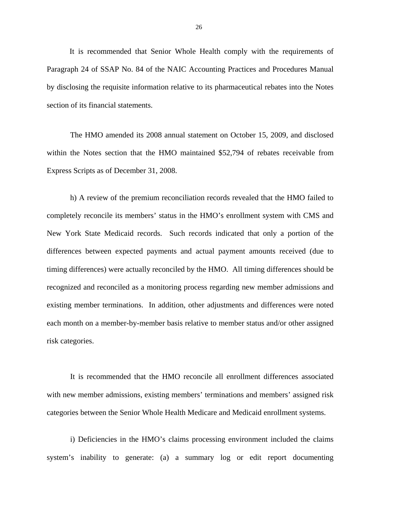It is recommended that Senior Whole Health comply with the requirements of Paragraph 24 of SSAP No. 84 of the NAIC Accounting Practices and Procedures Manual by disclosing the requisite information relative to its pharmaceutical rebates into the Notes section of its financial statements.

The HMO amended its 2008 annual statement on October 15, 2009, and disclosed within the Notes section that the HMO maintained \$52,794 of rebates receivable from Express Scripts as of December 31, 2008.

h) A review of the premium reconciliation records revealed that the HMO failed to completely reconcile its members' status in the HMO's enrollment system with CMS and New York State Medicaid records. Such records indicated that only a portion of the differences between expected payments and actual payment amounts received (due to timing differences) were actually reconciled by the HMO. All timing differences should be recognized and reconciled as a monitoring process regarding new member admissions and existing member terminations. In addition, other adjustments and differences were noted each month on a member-by-member basis relative to member status and/or other assigned risk categories.

It is recommended that the HMO reconcile all enrollment differences associated with new member admissions, existing members' terminations and members' assigned risk categories between the Senior Whole Health Medicare and Medicaid enrollment systems.

i) Deficiencies in the HMO's claims processing environment included the claims system's inability to generate: (a) a summary log or edit report documenting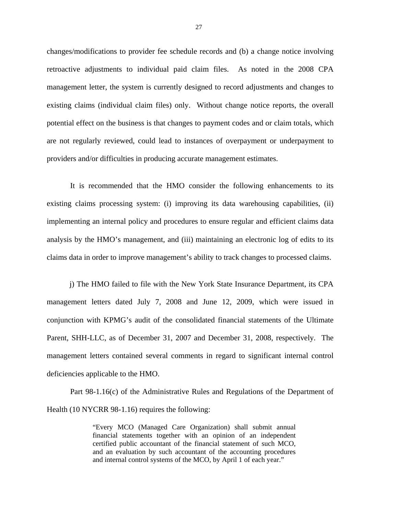changes/modifications to provider fee schedule records and (b) a change notice involving retroactive adjustments to individual paid claim files. As noted in the 2008 CPA management letter, the system is currently designed to record adjustments and changes to existing claims (individual claim files) only. Without change notice reports, the overall potential effect on the business is that changes to payment codes and or claim totals, which are not regularly reviewed, could lead to instances of overpayment or underpayment to providers and/or difficulties in producing accurate management estimates.

It is recommended that the HMO consider the following enhancements to its existing claims processing system: (i) improving its data warehousing capabilities, (ii) implementing an internal policy and procedures to ensure regular and efficient claims data analysis by the HMO's management, and (iii) maintaining an electronic log of edits to its claims data in order to improve management's ability to track changes to processed claims.

j) The HMO failed to file with the New York State Insurance Department, its CPA management letters dated July 7, 2008 and June 12, 2009, which were issued in conjunction with KPMG's audit of the consolidated financial statements of the Ultimate Parent, SHH-LLC, as of December 31, 2007 and December 31, 2008, respectively. The management letters contained several comments in regard to significant internal control deficiencies applicable to the HMO.

Part 98-1.16(c) of the Administrative Rules and Regulations of the Department of Health (10 NYCRR 98-1.16) requires the following:

> "Every MCO (Managed Care Organization) shall submit annual financial statements together with an opinion of an independent certified public accountant of the financial statement of such MCO, and an evaluation by such accountant of the accounting procedures and internal control systems of the MCO, by April 1 of each year."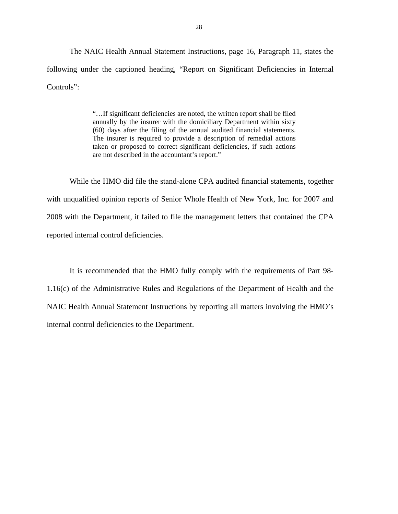The NAIC Health Annual Statement Instructions, page 16, Paragraph 11, states the following under the captioned heading, "Report on Significant Deficiencies in Internal Controls":

> (60) days after the filing of the annual audited financial statements. "…If significant deficiencies are noted, the written report shall be filed annually by the insurer with the domiciliary Department within sixty The insurer is required to provide a description of remedial actions. taken or proposed to correct significant deficiencies, if such actions are not described in the accountant's report."

While the HMO did file the stand-alone CPA audited financial statements, together with unqualified opinion reports of Senior Whole Health of New York, Inc. for 2007 and 2008 with the Department, it failed to file the management letters that contained the CPA reported internal control deficiencies.

It is recommended that the HMO fully comply with the requirements of Part 98- 1.16(c) of the Administrative Rules and Regulations of the Department of Health and the NAIC Health Annual Statement Instructions by reporting all matters involving the HMO's internal control deficiencies to the Department.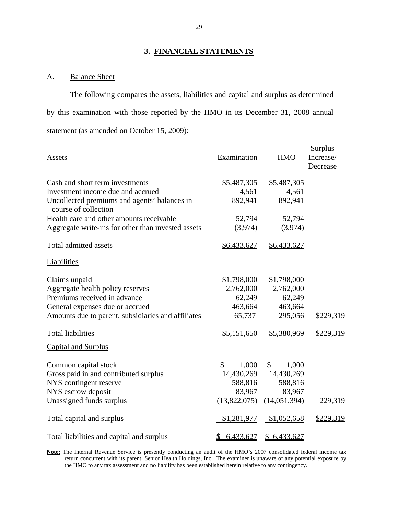### **3. FINANCIAL STATEMENTS**

### A. Balance Sheet

The following compares the assets, liabilities and capital and surplus as determined by this examination with those reported by the HMO in its December 31, 2008 annual statement (as amended on October 15, 2009):

|                                                                      |                 |              | Surplus   |
|----------------------------------------------------------------------|-----------------|--------------|-----------|
| Assets                                                               | Examination     | <b>HMO</b>   | Increase/ |
|                                                                      |                 |              | Decrease  |
|                                                                      |                 |              |           |
| Cash and short term investments                                      | \$5,487,305     | \$5,487,305  |           |
| Investment income due and accrued                                    | 4,561           | 4,561        |           |
| Uncollected premiums and agents' balances in<br>course of collection | 892,941         | 892,941      |           |
| Health care and other amounts receivable                             | 52,794          | 52,794       |           |
| Aggregate write-ins for other than invested assets                   | (3,974)         | (3,974)      |           |
| <b>Total admitted assets</b>                                         | \$6,433,627     | \$6,433,627  |           |
| Liabilities                                                          |                 |              |           |
| Claims unpaid                                                        | \$1,798,000     | \$1,798,000  |           |
| Aggregate health policy reserves                                     | 2,762,000       | 2,762,000    |           |
| Premiums received in advance                                         | 62,249          | 62,249       |           |
| General expenses due or accrued                                      | 463,664         | 463,664      |           |
| Amounts due to parent, subsidiaries and affiliates                   | 65,737          | 295,056      | \$229,319 |
| <b>Total liabilities</b>                                             | \$5,151,650     | \$5,380,969  | \$229,319 |
| <b>Capital and Surplus</b>                                           |                 |              |           |
| Common capital stock                                                 | \$<br>1,000     | 1,000<br>\$  |           |
| Gross paid in and contributed surplus                                | 14,430,269      | 14,430,269   |           |
| NYS contingent reserve                                               | 588,816         | 588,816      |           |
| NYS escrow deposit                                                   | 83,967          | 83,967       |           |
| Unassigned funds surplus                                             | (13,822,075)    | (14,051,394) | 229,319   |
| Total capital and surplus                                            | \$1,281,977     | \$1,052,658  | \$229,319 |
| Total liabilities and capital and surplus                            | 6,433,627<br>\$ | \$6,433,627  |           |

**Note:** The Internal Revenue Service is presently conducting an audit of the HMO's 2007 consolidated federal income tax return concurrent with its parent, Senior Health Holdings, Inc. The examiner is unaware of any potential exposure by the HMO to any tax assessment and no liability has been established herein relative to any contingency.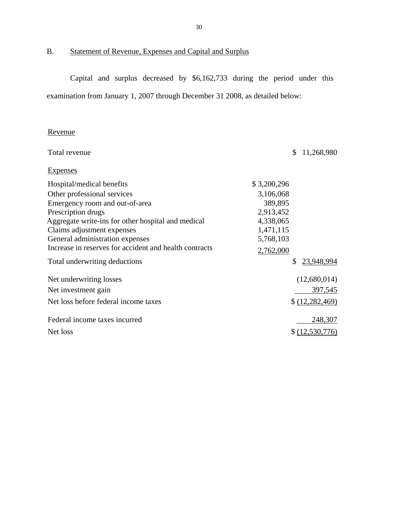<span id="page-31-0"></span>

B. Statement of Revenue, Expenses and Capital and Surplus

Capital and surplus decreased by \$6,162,733 during the period under this examination from January 1, 2007 through December 31 2008, as detailed below:

### Revenue

| Total revenue                                          |             | \$. | 11,268,980        |
|--------------------------------------------------------|-------------|-----|-------------------|
| Expenses                                               |             |     |                   |
| Hospital/medical benefits                              | \$3,200,296 |     |                   |
| Other professional services                            | 3,106,068   |     |                   |
| Emergency room and out-of-area                         | 389,895     |     |                   |
| Prescription drugs                                     | 2,913,452   |     |                   |
| Aggregate write-ins for other hospital and medical     | 4,338,065   |     |                   |
| Claims adjustment expenses                             | 1,471,115   |     |                   |
| General administration expenses                        | 5,768,103   |     |                   |
| Increase in reserves for accident and health contracts | 2,762,000   |     |                   |
| Total underwriting deductions                          |             | \$  | 23,948,994        |
| Net underwriting losses                                |             |     | (12,680,014)      |
| Net investment gain                                    |             |     | 397,545           |
| Net loss before federal income taxes                   |             |     | \$ (12, 282, 469) |
| Federal income taxes incurred                          |             |     | 248,307           |
| Net loss                                               |             |     | \$(12,530,776)    |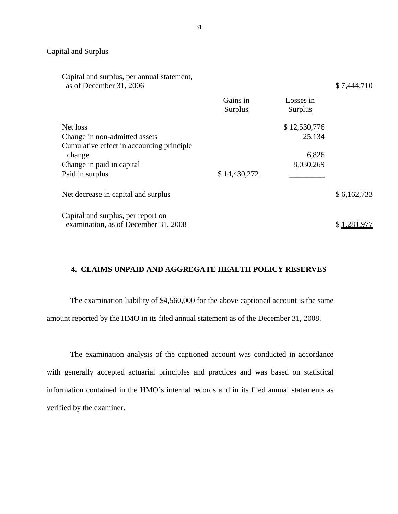### **Capital and Surplus**

| Capital and surplus, per annual statement,<br>as of December 31, 2006 |                     |                             | \$7,444,710 |
|-----------------------------------------------------------------------|---------------------|-----------------------------|-------------|
|                                                                       | Gains in<br>Surplus | Losses in<br><b>Surplus</b> |             |
| Net loss                                                              |                     | \$12,530,776                |             |
| Change in non-admitted assets                                         |                     | 25,134                      |             |
| Cumulative effect in accounting principle.                            |                     |                             |             |
| change                                                                |                     | 6,826                       |             |
| Change in paid in capital                                             |                     | 8,030,269                   |             |
| Paid in surplus                                                       | \$14,430,272        |                             |             |
| Net decrease in capital and surplus                                   |                     |                             | \$6,162,733 |
| Capital and surplus, per report on                                    |                     |                             |             |
| examination, as of December 31, 2008                                  |                     |                             |             |

#### **4. CLAIMS UNPAID AND AGGREGATE HEALTH POLICY RESERVES**

The examination liability of \$4,560,000 for the above captioned account is the same amount reported by the HMO in its filed annual statement as of the December 31, 2008.

The examination analysis of the captioned account was conducted in accordance with generally accepted actuarial principles and practices and was based on statistical information contained in the HMO's internal records and in its filed annual statements as verified by the examiner.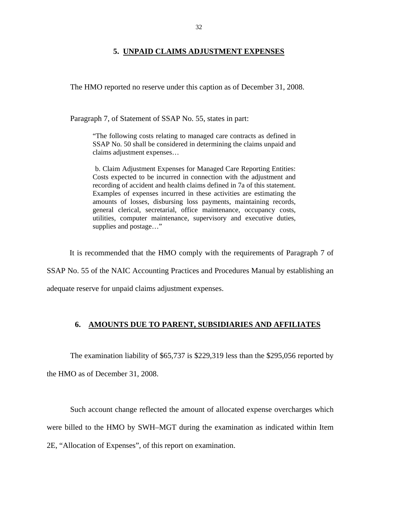#### **5. UNPAID CLAIMS ADJUSTMENT EXPENSES**

<span id="page-33-0"></span>The HMO reported no reserve under this caption as of December 31, 2008.

Paragraph 7, of Statement of SSAP No. 55, states in part:

"The following costs relating to managed care contracts as defined in SSAP No. 50 shall be considered in determining the claims unpaid and claims adjustment expenses…

b. Claim Adjustment Expenses for Managed Care Reporting Entities: Costs expected to be incurred in connection with the adjustment and recording of accident and health claims defined in 7a of this statement. Examples of expenses incurred in these activities are estimating the amounts of losses, disbursing loss payments, maintaining records, general clerical, secretarial, office maintenance, occupancy costs, utilities, computer maintenance, supervisory and executive duties, supplies and postage…"

It is recommended that the HMO comply with the requirements of Paragraph 7 of

SSAP No. 55 of the NAIC Accounting Practices and Procedures Manual by establishing an

adequate reserve for unpaid claims adjustment expenses.

#### **6. AMOUNTS DUE TO PARENT, SUBSIDIARIES AND AFFILIATES**

The examination liability of \$65,737 is \$229,319 less than the \$295,056 reported by

the HMO as of December 31, 2008.

Such account change reflected the amount of allocated expense overcharges which were billed to the HMO by SWH–MGT during the examination as indicated within Item 2E, "Allocation of Expenses", of this report on examination.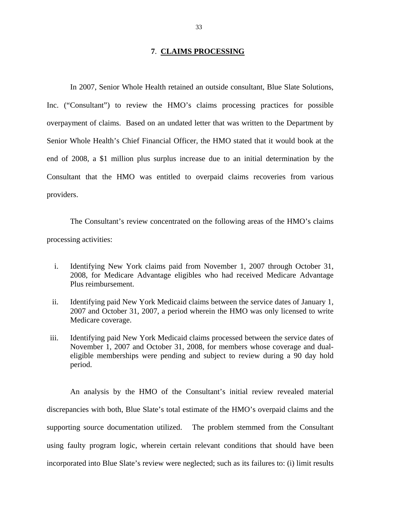#### **7**. **CLAIMS PROCESSING**

<span id="page-34-0"></span>In 2007, Senior Whole Health retained an outside consultant, Blue Slate Solutions, Inc. ("Consultant") to review the HMO's claims processing practices for possible overpayment of claims. Based on an undated letter that was written to the Department by Senior Whole Health's Chief Financial Officer, the HMO stated that it would book at the end of 2008, a \$1 million plus surplus increase due to an initial determination by the Consultant that the HMO was entitled to overpaid claims recoveries from various providers.

The Consultant's review concentrated on the following areas of the HMO's claims processing activities:

- i. Identifying New York claims paid from November 1, 2007 through October 31, 2008, for Medicare Advantage eligibles who had received Medicare Advantage Plus reimbursement.
- ii. Identifying paid New York Medicaid claims between the service dates of January 1, 2007 and October 31, 2007, a period wherein the HMO was only licensed to write Medicare coverage.
- iii. Identifying paid New York Medicaid claims processed between the service dates of November 1, 2007 and October 31, 2008, for members whose coverage and dualeligible memberships were pending and subject to review during a 90 day hold period.

An analysis by the HMO of the Consultant's initial review revealed material discrepancies with both, Blue Slate's total estimate of the HMO's overpaid claims and the supporting source documentation utilized. The problem stemmed from the Consultant using faulty program logic, wherein certain relevant conditions that should have been incorporated into Blue Slate's review were neglected; such as its failures to: (i) limit results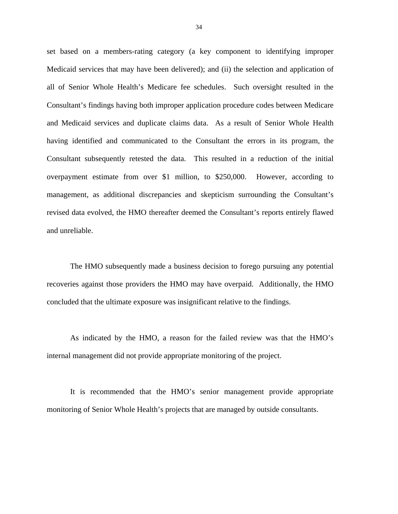set based on a members-rating category (a key component to identifying improper Medicaid services that may have been delivered); and (ii) the selection and application of all of Senior Whole Health's Medicare fee schedules. Such oversight resulted in the Consultant's findings having both improper application procedure codes between Medicare and Medicaid services and duplicate claims data. As a result of Senior Whole Health having identified and communicated to the Consultant the errors in its program, the Consultant subsequently retested the data. This resulted in a reduction of the initial overpayment estimate from over \$1 million, to \$250,000. However, according to management, as additional discrepancies and skepticism surrounding the Consultant's revised data evolved, the HMO thereafter deemed the Consultant's reports entirely flawed and unreliable.

The HMO subsequently made a business decision to forego pursuing any potential recoveries against those providers the HMO may have overpaid. Additionally, the HMO concluded that the ultimate exposure was insignificant relative to the findings.

As indicated by the HMO, a reason for the failed review was that the HMO's internal management did not provide appropriate monitoring of the project.

It is recommended that the HMO's senior management provide appropriate monitoring of Senior Whole Health's projects that are managed by outside consultants.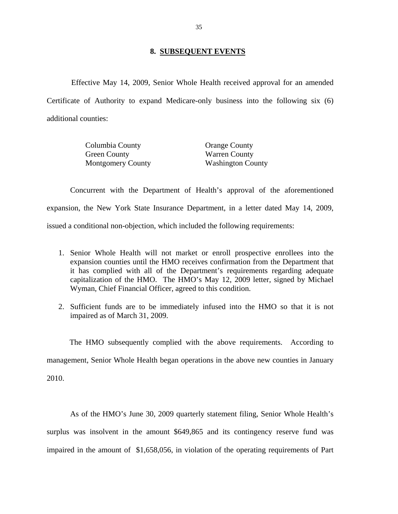#### **8. SUBSEQUENT EVENTS**

<span id="page-36-0"></span>Effective May 14, 2009, Senior Whole Health received approval for an amended Certificate of Authority to expand Medicare-only business into the following six (6) additional counties:

| Columbia County          | <b>Orange County</b>     |
|--------------------------|--------------------------|
| Green County             | <b>Warren County</b>     |
| <b>Montgomery County</b> | <b>Washington County</b> |

Concurrent with the Department of Health's approval of the aforementioned expansion, the New York State Insurance Department, in a letter dated May 14, 2009, issued a conditional non-objection, which included the following requirements:

- 1. Senior Whole Health will not market or enroll prospective enrollees into the expansion counties until the HMO receives confirmation from the Department that it has complied with all of the Department's requirements regarding adequate capitalization of the HMO. The HMO's May 12, 2009 letter, signed by Michael Wyman, Chief Financial Officer, agreed to this condition.
- 2. Sufficient funds are to be immediately infused into the HMO so that it is not impaired as of March 31, 2009.

The HMO subsequently complied with the above requirements. According to management, Senior Whole Health began operations in the above new counties in January 2010.

As of the HMO's June 30, 2009 quarterly statement filing, Senior Whole Health's surplus was insolvent in the amount \$649,865 and its contingency reserve fund was impaired in the amount of \$1,658,056, in violation of the operating requirements of Part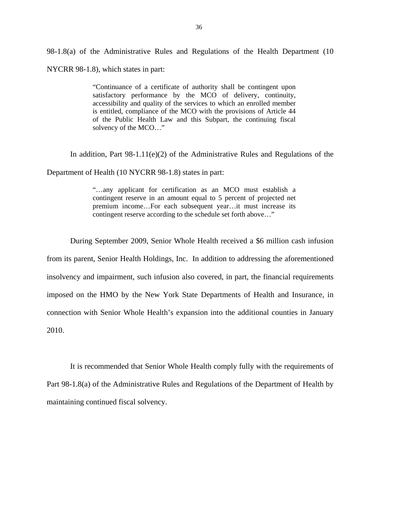98-1.8(a) of the Administrative Rules and Regulations of the Health Department (10 NYCRR 98-1.8), which states in part:

> "Continuance of a certificate of authority shall be contingent upon satisfactory performance by the MCO of delivery, continuity, accessibility and quality of the services to which an enrolled member is entitled, compliance of the MCO with the provisions of Article 44 of the Public Health Law and this Subpart, the continuing fiscal solvency of the MCO…"

In addition, Part  $98-1.11(e)(2)$  of the Administrative Rules and Regulations of the

Department of Health (10 NYCRR 98-1.8) states in part:

"…any applicant for certification as an MCO must establish a contingent reserve in an amount equal to 5 percent of projected net premium income…For each subsequent year…it must increase its contingent reserve according to the schedule set forth above..."

During September 2009, Senior Whole Health received a \$6 million cash infusion from its parent, Senior Health Holdings, Inc. In addition to addressing the aforementioned insolvency and impairment, such infusion also covered, in part, the financial requirements imposed on the HMO by the New York State Departments of Health and Insurance, in connection with Senior Whole Health's expansion into the additional counties in January 2010.

It is recommended that Senior Whole Health comply fully with the requirements of Part 98-1.8(a) of the Administrative Rules and Regulations of the Department of Health by maintaining continued fiscal solvency.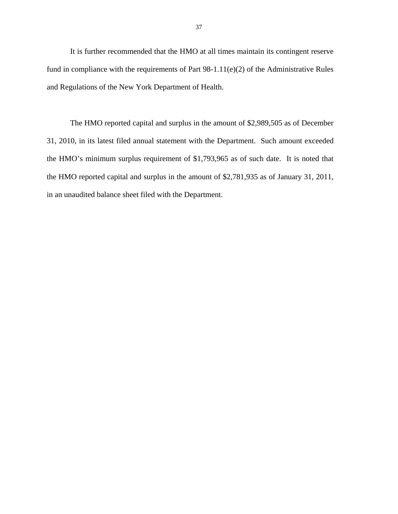It is further recommended that the HMO at all times maintain its contingent reserve fund in compliance with the requirements of Part  $98-1.11(e)(2)$  of the Administrative Rules and Regulations of the New York Department of Health.

The HMO reported capital and surplus in the amount of \$2,989,505 as of December 31, 2010, in its latest filed annual statement with the Department. Such amount exceeded the HMO's minimum surplus requirement of \$1,793,965 as of such date. It is noted that the HMO reported capital and surplus in the amount of \$2,781,935 as of January 31, 2011, in an unaudited balance sheet filed with the Department.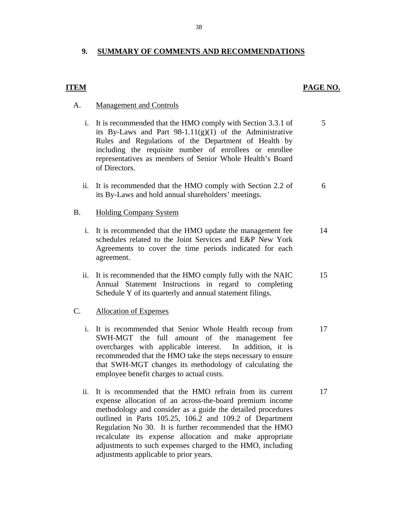### <span id="page-39-0"></span>**9. SUMMARY OF COMMENTS AND RECOMMENDATIONS**

#### **ITEM**

#### PAGE NO.

#### **Management and Controls**

- A. Management and Controls<br>i. It is recommended that the HMO comply with Section 3.3.1 of 5 its By-Laws and Part  $98-1.11(g)(1)$  of the Administrative Rules and Regulations of the Department of Health by including the requisite number of enrollees or enrollee representatives as members of Senior Whole Health's Board of Directors.
	- ii. It is recommended that the HMO comply with Section 2.2 of  $\qquad\qquad$  6 its By-Laws and hold annual shareholders' meetings.

#### **Holding Company System**

- B. Holding Company System<br>i. It is recommended that the HMO update the management fee 14 schedules related to the Joint Services and E&P New York Agreements to cover the time periods indicated for each agreement.
	- ii. It is recommended that the HMO comply fully with the NAIC 15 Annual Statement Instructions in regard to completing Schedule Y of its quarterly and annual statement filings.

#### **Allocation of Expenses**

- C. Allocation of Expenses<br>i. It is recommended that Senior Whole Health recoup from 17 SWH-MGT the full amount of the management fee overcharges with applicable interest. In addition, it is recommended that the HMO take the steps necessary to ensure that SWH-MGT changes its methodology of calculating the employee benefit charges to actual costs.
	- ii. It is recommended that the HMO refrain from its current 17 expense allocation of an across-the-board premium income methodology and consider as a guide the detailed procedures outlined in Parts 105.25, 106.2 and 109.2 of Department Regulation No 30. It is further recommended that the HMO recalculate its expense allocation and make appropriate adjustments to such expenses charged to the HMO, including adjustments applicable to prior years.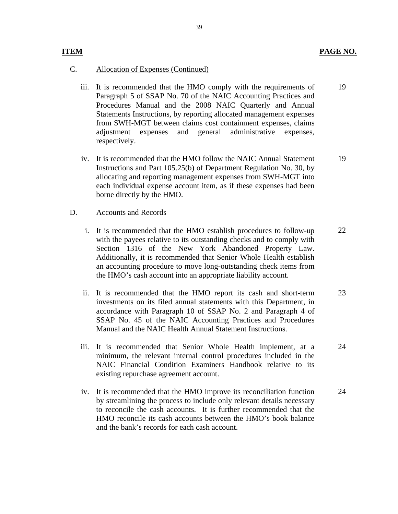#### **ITEM**

#### PAGE NO.

24

#### **Allocation of Expenses (Continued)**

- C. Allocation of Expenses (Continued)<br>iii. It is recommended that the HMO comply with the requirements of Paragraph 5 of SSAP No. 70 of the NAIC Accounting Practices and Procedures Manual and the 2008 NAIC Quarterly and Annual Statements Instructions, by reporting allocated management expenses from SWH-MGT between claims cost containment expenses, claims adjustment expenses and general administrative expenses, respectively. 19
	- iv. It is recommended that the HMO follow the NAIC Annual Statement Instructions and Part 105.25(b) of Department Regulation No. 30, by allocating and reporting management expenses from SWH-MGT into each individual expense account item, as if these expenses had been borne directly by the HMO. 19

#### D. Accounts and Records

- i. It is recommended that the HMO establish procedures to follow-up with the payees relative to its outstanding checks and to comply with Section 1316 of the New York Abandoned Property Law. Additionally, it is recommended that Senior Whole Health establish an accounting procedure to move long-outstanding check items from the HMO's cash account into an appropriate liability account. 22
- ii. It is recommended that the HMO report its cash and short-term investments on its filed annual statements with this Department, in accordance with Paragraph 10 of SSAP No. 2 and Paragraph 4 of SSAP No. 45 of the NAIC Accounting Practices and Procedures Manual and the NAIC Health Annual Statement Instructions. 23
- iii. It is recommended that Senior Whole Health implement, at a minimum, the relevant internal control procedures included in the NAIC Financial Condition Examiners Handbook relative to its existing repurchase agreement account.
- iv. It is recommended that the HMO improve its reconciliation function by streamlining the process to include only relevant details necessary to reconcile the cash accounts. It is further recommended that the HMO reconcile its cash accounts between the HMO's book balance and the bank's records for each cash account. 24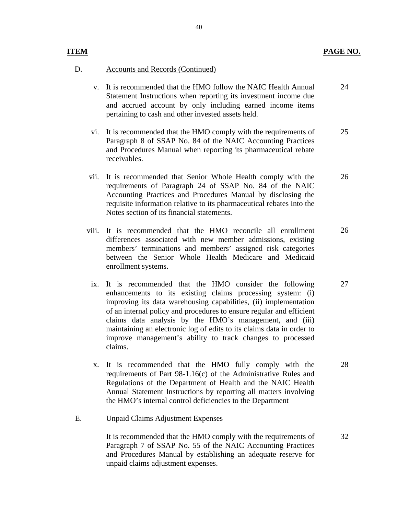#### **ITEM** PAGE NO.

28

32

#### **Accounts and Records (Continued)**

- D. Accounts and Records (Continued)<br>v. It is recommended that the HMO follow the NAIC Health Annual Statement Instructions when reporting its investment income due and accrued account by only including earned income items pertaining to cash and other invested assets held. 24
	- vi. It is recommended that the HMO comply with the requirements of Paragraph 8 of SSAP No. 84 of the NAIC Accounting Practices and Procedures Manual when reporting its pharmaceutical rebate receivables. 25
	- vii. It is recommended that Senior Whole Health comply with the requirements of Paragraph 24 of SSAP No. 84 of the NAIC Accounting Practices and Procedures Manual by disclosing the requisite information relative to its pharmaceutical rebates into the Notes section of its financial statements. 26
	- viii. It is recommended that the HMO reconcile all enrollment differences associated with new member admissions, existing members' terminations and members' assigned risk categories between the Senior Whole Health Medicare and Medicaid enrollment systems. 26
	- ix. It is recommended that the HMO consider the following enhancements to its existing claims processing system: (i) improving its data warehousing capabilities, (ii) implementation of an internal policy and procedures to ensure regular and efficient claims data analysis by the HMO's management, and (iii) maintaining an electronic log of edits to its claims data in order to improve management's ability to track changes to processed claims. 27
	- x. It is recommended that the HMO fully comply with the requirements of Part 98-1.16(c) of the Administrative Rules and Regulations of the Department of Health and the NAIC Health Annual Statement Instructions by reporting all matters involving the HMO's internal control deficiencies to the Department

**Unpaid Claims Adjustment Expenses** 

E. Unpaid Claims Adjustment Expenses<br>It is recommended that the HMO comply with the requirements of Paragraph 7 of SSAP No. 55 of the NAIC Accounting Practices and Procedures Manual by establishing an adequate reserve for unpaid claims adjustment expenses.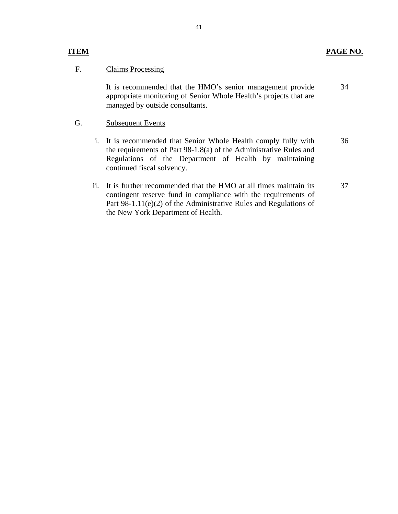F. Claims Processing<br>It is recommended that the HMO's senior management provide appropriate monitoring of Senior Whole Health's projects that are managed by outside consultants.

#### **Subsequent Events**

- G. Subsequent Events<br>
i. It is recommended that Senior Whole Health comply fully with the requirements of Part 98-1.8(a) of the Administrative Rules and Regulations of the Department of Health by maintaining continued fiscal solvency. 36
	- ii. It is further recommended that the HMO at all times maintain its contingent reserve fund in compliance with the requirements of Part 98-1.11(e)(2) of the Administrative Rules and Regulations of the New York Department of Health. 37

34